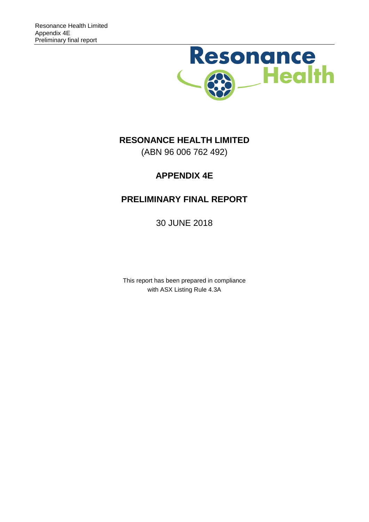

# **RESONANCE HEALTH LIMITED**

(ABN 96 006 762 492)

# **APPENDIX 4E**

# **PRELIMINARY FINAL REPORT**

30 JUNE 2018

This report has been prepared in compliance with ASX Listing Rule 4.3A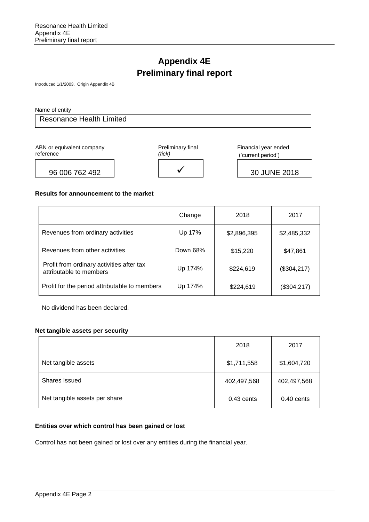# **Appendix 4E Preliminary final report**

Introduced 1/1/2003. Origin Appendix 4B

Name of entity

Resonance Health Limited

ABN or equivalent company reference



Financial year ended ('current period')

### **Results for announcement to the market**

|                                                                      | Change   | 2018        | 2017         |
|----------------------------------------------------------------------|----------|-------------|--------------|
| Revenues from ordinary activities                                    | Up 17%   | \$2,896,395 | \$2,485,332  |
| Revenues from other activities                                       | Down 68% | \$15,220    | \$47,861     |
| Profit from ordinary activities after tax<br>attributable to members | Up 174%  | \$224,619   | (\$304, 217) |
| Profit for the period attributable to members                        | Up 174%  | \$224,619   | (\$304, 217) |

No dividend has been declared.

### **Net tangible assets per security**

|                               | 2018         | 2017        |
|-------------------------------|--------------|-------------|
| Net tangible assets           | \$1,711,558  | \$1,604,720 |
| <b>Shares Issued</b>          | 402,497,568  | 402,497,568 |
| Net tangible assets per share | $0.43$ cents | 0.40 cents  |

### **Entities over which control has been gained or lost**

Control has not been gained or lost over any entities during the financial year.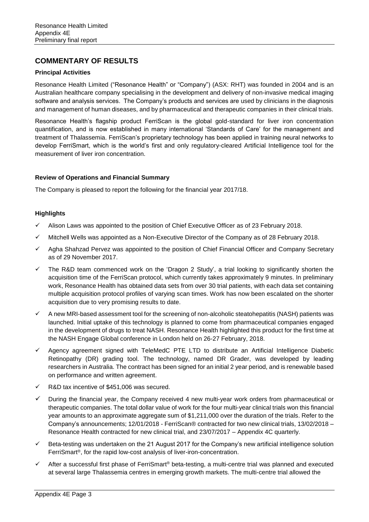# **COMMENTARY OF RESULTS**

## **Principal Activities**

Resonance Health Limited ("Resonance Health" or "Company") (ASX: RHT) was founded in 2004 and is an Australian healthcare company specialising in the development and delivery of non-invasive medical imaging software and analysis services. The Company's products and services are used by clinicians in the diagnosis and management of human diseases, and by pharmaceutical and therapeutic companies in their clinical trials.

Resonance Health's flagship product FerriScan is the global gold-standard for liver iron concentration quantification, and is now established in many international 'Standards of Care' for the management and treatment of Thalassemia. FerriScan's proprietary technology has been applied in training neural networks to develop FerriSmart, which is the world's first and only regulatory-cleared Artificial Intelligence tool for the measurement of liver iron concentration.

## **Review of Operations and Financial Summary**

The Company is pleased to report the following for the financial year 2017/18.

# **Highlights**

- $\checkmark$  Alison Laws was appointed to the position of Chief Executive Officer as of 23 February 2018.
- $\checkmark$  Mitchell Wells was appointed as a Non-Executive Director of the Company as of 28 February 2018.
- $\checkmark$  Agha Shahzad Pervez was appointed to the position of Chief Financial Officer and Company Secretary as of 29 November 2017.
- $\checkmark$  The R&D team commenced work on the 'Dragon 2 Study', a trial looking to significantly shorten the acquisition time of the FerriScan protocol, which currently takes approximately 9 minutes. In preliminary work, Resonance Health has obtained data sets from over 30 trial patients, with each data set containing multiple acquisition protocol profiles of varying scan times. Work has now been escalated on the shorter acquisition due to very promising results to date.
- $\checkmark$  A new MRI-based assessment tool for the screening of non-alcoholic steatohepatitis (NASH) patients was launched. Initial uptake of this technology is planned to come from pharmaceutical companies engaged in the development of drugs to treat NASH. Resonance Health highlighted this product for the first time at the NASH Engage Global conference in London held on 26-27 February, 2018.
- $\checkmark$  Agency agreement signed with TeleMedC PTE LTD to distribute an Artificial Intelligence Diabetic Retinopathy (DR) grading tool. The technology, named DR Grader, was developed by leading researchers in Australia. The contract has been signed for an initial 2 year period, and is renewable based on performance and written agreement.
- $\checkmark$  R&D tax incentive of \$451,006 was secured.
- $\checkmark$  During the financial year, the Company received 4 new multi-year work orders from pharmaceutical or therapeutic companies. The total dollar value of work for the four multi-year clinical trials won this financial year amounts to an approximate aggregate sum of \$1,211,000 over the duration of the trials. Refer to the Company's announcements; 12/01/2018 - FerriScan® contracted for two new clinical trials, 13/02/2018 – Resonance Health contracted for new clinical trial, and 23/07/2017 – Appendix 4C quarterly.
- $\checkmark$  Beta-testing was undertaken on the 21 August 2017 for the Company's new artificial intelligence solution FerriSmart®, for the rapid low-cost analysis of liver-iron-concentration.
- $\checkmark$  After a successful first phase of FerriSmart® beta-testing, a multi-centre trial was planned and executed at several large Thalassemia centres in emerging growth markets. The multi-centre trial allowed the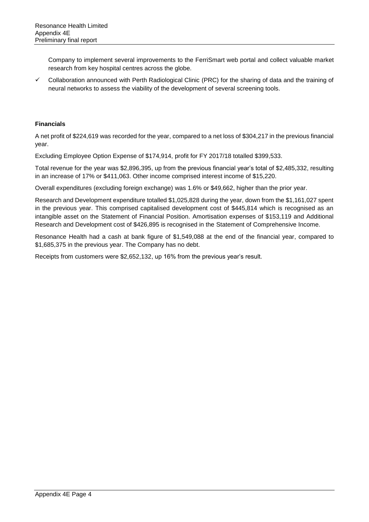Company to implement several improvements to the FerriSmart web portal and collect valuable market research from key hospital centres across the globe.

 $\checkmark$  Collaboration announced with Perth Radiological Clinic (PRC) for the sharing of data and the training of neural networks to assess the viability of the development of several screening tools.

### **Financials**

A net profit of \$224,619 was recorded for the year, compared to a net loss of \$304,217 in the previous financial year.

Excluding Employee Option Expense of \$174,914, profit for FY 2017/18 totalled \$399,533.

Total revenue for the year was \$2,896,395, up from the previous financial year's total of \$2,485,332, resulting in an increase of 17% or \$411,063. Other income comprised interest income of \$15,220.

Overall expenditures (excluding foreign exchange) was 1.6% or \$49,662, higher than the prior year.

Research and Development expenditure totalled \$1,025,828 during the year, down from the \$1,161,027 spent in the previous year. This comprised capitalised development cost of \$445,814 which is recognised as an intangible asset on the Statement of Financial Position. Amortisation expenses of \$153,119 and Additional Research and Development cost of \$426,895 is recognised in the Statement of Comprehensive Income.

Resonance Health had a cash at bank figure of \$1,549,088 at the end of the financial year, compared to \$1,685,375 in the previous year. The Company has no debt.

Receipts from customers were \$2,652,132, up 16% from the previous year's result.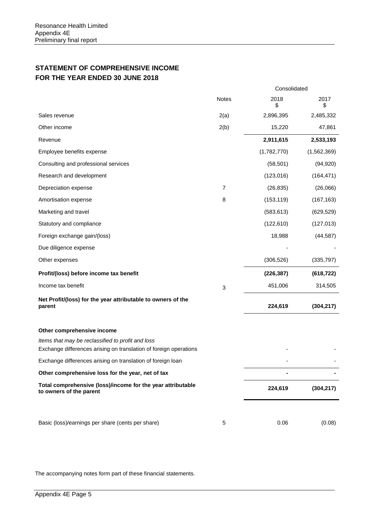# **STATEMENT OF COMPREHENSIVE INCOME FOR THE YEAR ENDED 30 JUNE 2018**

|                                                                                                                        |       | Consolidated |             |
|------------------------------------------------------------------------------------------------------------------------|-------|--------------|-------------|
|                                                                                                                        | Notes | 2018<br>\$   | 2017<br>\$  |
| Sales revenue                                                                                                          | 2(a)  | 2,896,395    | 2,485,332   |
| Other income                                                                                                           | 2(b)  | 15,220       | 47,861      |
| Revenue                                                                                                                |       | 2,911,615    | 2,533,193   |
| Employee benefits expense                                                                                              |       | (1,782,770)  | (1,562,369) |
| Consulting and professional services                                                                                   |       | (58, 501)    | (94, 920)   |
| Research and development                                                                                               |       | (123, 016)   | (164, 471)  |
| Depreciation expense                                                                                                   | 7     | (26, 835)    | (26,066)    |
| Amortisation expense                                                                                                   | 8     | (153, 119)   | (167, 163)  |
| Marketing and travel                                                                                                   |       | (583, 613)   | (629, 529)  |
| Statutory and compliance                                                                                               |       | (122, 610)   | (127, 013)  |
| Foreign exchange gain/(loss)                                                                                           |       | 18,988       | (44, 587)   |
| Due diligence expense                                                                                                  |       |              |             |
| Other expenses                                                                                                         |       | (306, 526)   | (335, 797)  |
| Profit/(loss) before income tax benefit                                                                                |       | (226, 387)   | (618, 722)  |
| Income tax benefit                                                                                                     | 3     | 451,006      | 314,505     |
| Net Profit/(loss) for the year attributable to owners of the<br>parent                                                 |       | 224,619      | (304, 217)  |
| Other comprehensive income                                                                                             |       |              |             |
| Items that may be reclassified to profit and loss<br>Exchange differences arising on translation of foreign operations |       |              |             |
| Exchange differences arising on translation of foreign loan                                                            |       |              |             |
| Other comprehensive loss for the year, net of tax                                                                      |       |              |             |
| Total comprehensive (loss)/income for the year attributable<br>to owners of the parent                                 |       | 224,619      | (304, 217)  |
|                                                                                                                        |       |              |             |
| Basic (loss)/earnings per share (cents per share)                                                                      | 5     | 0.06         | (0.08)      |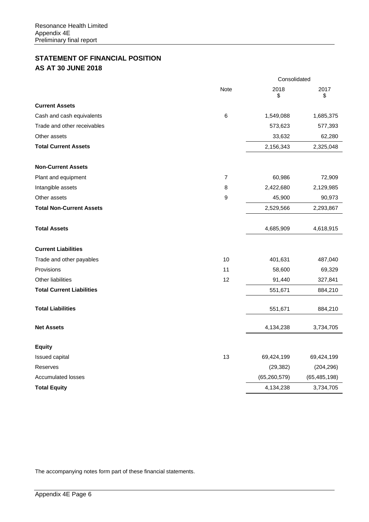# **STATEMENT OF FINANCIAL POSITION AS AT 30 JUNE 2018**

|                                  |      | Consolidated   |                |  |
|----------------------------------|------|----------------|----------------|--|
|                                  | Note | 2018<br>\$     | 2017<br>\$     |  |
| <b>Current Assets</b>            |      |                |                |  |
| Cash and cash equivalents        | 6    | 1,549,088      | 1,685,375      |  |
| Trade and other receivables      |      | 573,623        | 577,393        |  |
| Other assets                     |      | 33,632         | 62,280         |  |
| <b>Total Current Assets</b>      |      | 2,156,343      | 2,325,048      |  |
| <b>Non-Current Assets</b>        |      |                |                |  |
| Plant and equipment              | 7    | 60,986         | 72,909         |  |
| Intangible assets                | 8    | 2,422,680      | 2,129,985      |  |
| Other assets                     | 9    | 45,900         | 90,973         |  |
| <b>Total Non-Current Assets</b>  |      | 2,529,566      | 2,293,867      |  |
| <b>Total Assets</b>              |      | 4,685,909      | 4,618,915      |  |
| <b>Current Liabilities</b>       |      |                |                |  |
| Trade and other payables         | 10   | 401,631        | 487,040        |  |
| Provisions                       | 11   | 58,600         | 69,329         |  |
| <b>Other liabilities</b>         | 12   | 91,440         | 327,841        |  |
| <b>Total Current Liabilities</b> |      | 551,671        | 884,210        |  |
| <b>Total Liabilities</b>         |      | 551,671        | 884,210        |  |
| <b>Net Assets</b>                |      | 4,134,238      | 3,734,705      |  |
| <b>Equity</b>                    |      |                |                |  |
| Issued capital                   | 13   | 69,424,199     | 69,424,199     |  |
| Reserves                         |      | (29, 382)      | (204, 296)     |  |
| <b>Accumulated losses</b>        |      | (65, 260, 579) | (65, 485, 198) |  |
| <b>Total Equity</b>              |      | 4,134,238      | 3,734,705      |  |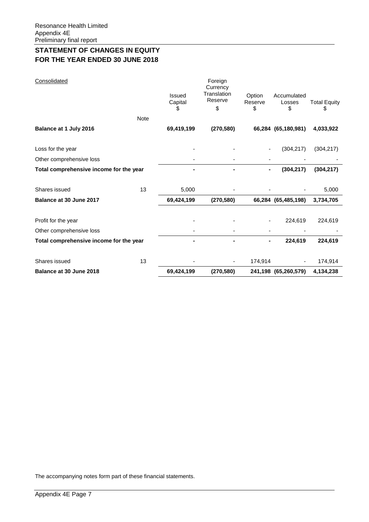# **STATEMENT OF CHANGES IN EQUITY FOR THE YEAR ENDED 30 JUNE 2018**

| Consolidated                            |             | <b>Issued</b><br>Capital<br>S | Foreign<br>Currency<br>Translation<br>Reserve<br>\$ | Option<br>Reserve<br>\$ | Accumulated<br>Losses<br>\$ | <b>Total Equity</b><br>\$ |
|-----------------------------------------|-------------|-------------------------------|-----------------------------------------------------|-------------------------|-----------------------------|---------------------------|
|                                         | <b>Note</b> |                               |                                                     |                         |                             |                           |
| Balance at 1 July 2016                  |             | 69,419,199                    | (270, 580)                                          |                         | 66,284 (65,180,981)         | 4,033,922                 |
| Loss for the year                       |             |                               |                                                     |                         | (304, 217)                  | (304, 217)                |
| Other comprehensive loss                |             |                               |                                                     |                         |                             |                           |
| Total comprehensive income for the year |             |                               |                                                     |                         | (304, 217)                  | (304, 217)                |
| Shares issued                           | 13          | 5,000                         |                                                     |                         |                             | 5,000                     |
| Balance at 30 June 2017                 |             | 69,424,199                    | (270, 580)                                          |                         | 66,284 (65,485,198)         | 3,734,705                 |
| Profit for the year                     |             |                               |                                                     |                         | 224,619                     | 224,619                   |
| Other comprehensive loss                |             |                               |                                                     |                         |                             |                           |
| Total comprehensive income for the year |             |                               |                                                     |                         | 224,619                     | 224,619                   |
| Shares issued                           | 13          |                               | $\qquad \qquad \blacksquare$                        | 174,914                 |                             | 174,914                   |
| Balance at 30 June 2018                 |             | 69,424,199                    | (270, 580)                                          | 241,198                 | (65, 260, 579)              | 4,134,238                 |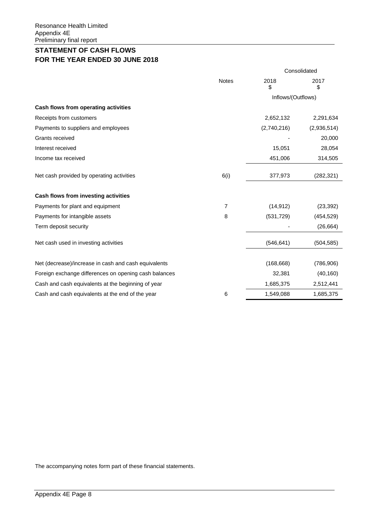# **STATEMENT OF CASH FLOWS FOR THE YEAR ENDED 30 JUNE 2018**

|                | Consolidated       |             |  |
|----------------|--------------------|-------------|--|
| <b>Notes</b>   | 2018<br>\$         | 2017<br>\$  |  |
|                | Inflows/(Outflows) |             |  |
|                |                    |             |  |
|                | 2,652,132          | 2,291,634   |  |
|                | (2,740,216)        | (2,936,514) |  |
|                |                    | 20,000      |  |
|                | 15,051             | 28,054      |  |
|                | 451,006            | 314,505     |  |
| 6(i)           | 377,973            | (282, 321)  |  |
|                |                    |             |  |
| $\overline{7}$ | (14, 912)          | (23, 392)   |  |
| 8              | (531, 729)         | (454, 529)  |  |
|                |                    | (26, 664)   |  |
|                | (546, 641)         | (504, 585)  |  |
|                | (168, 668)         | (786, 906)  |  |
|                | 32,381             | (40, 160)   |  |
|                | 1,685,375          | 2,512,441   |  |
| 6              | 1,549,088          | 1,685,375   |  |
|                |                    |             |  |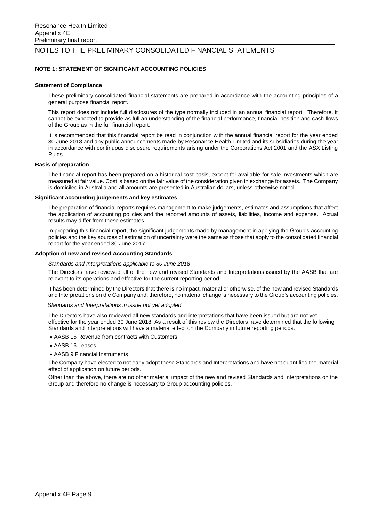### **NOTE 1: STATEMENT OF SIGNIFICANT ACCOUNTING POLICIES**

### **Statement of Compliance**

These preliminary consolidated financial statements are prepared in accordance with the accounting principles of a general purpose financial report.

This report does not include full disclosures of the type normally included in an annual financial report. Therefore, it cannot be expected to provide as full an understanding of the financial performance, financial position and cash flows of the Group as in the full financial report.

It is recommended that this financial report be read in conjunction with the annual financial report for the year ended 30 June 2018 and any public announcements made by Resonance Health Limited and its subsidiaries during the year in accordance with continuous disclosure requirements arising under the Corporations Act 2001 and the ASX Listing Rules.

#### **Basis of preparation**

The financial report has been prepared on a historical cost basis, except for available-for-sale investments which are measured at fair value. Cost is based on the fair value of the consideration given in exchange for assets. The Company is domiciled in Australia and all amounts are presented in Australian dollars, unless otherwise noted.

#### **Significant accounting judgements and key estimates**

The preparation of financial reports requires management to make judgements, estimates and assumptions that affect the application of accounting policies and the reported amounts of assets, liabilities, income and expense. Actual results may differ from these estimates.

In preparing this financial report, the significant judgements made by management in applying the Group's accounting policies and the key sources of estimation of uncertainty were the same as those that apply to the consolidated financial report for the year ended 30 June 2017.

#### **Adoption of new and revised Accounting Standards**

#### *Standards and Interpretations applicable to 30 June 2018*

The Directors have reviewed all of the new and revised Standards and Interpretations issued by the AASB that are relevant to its operations and effective for the current reporting period.

It has been determined by the Directors that there is no impact, material or otherwise, of the new and revised Standards and Interpretations on the Company and, therefore, no material change is necessary to the Group's accounting policies.

#### *Standards and Interpretations in issue not yet adopted*

The Directors have also reviewed all new standards and interpretations that have been issued but are not yet effective for the year ended 30 June 2018. As a result of this review the Directors have determined that the following Standards and Interpretations will have a material effect on the Company in future reporting periods.

- AASB 15 Revenue from contracts with Customers
- AASB 16 Leases
- AASB 9 Financial Instruments

The Company have elected to not early adopt these Standards and Interpretations and have not quantified the material effect of application on future periods.

Other than the above, there are no other material impact of the new and revised Standards and Interpretations on the Group and therefore no change is necessary to Group accounting policies.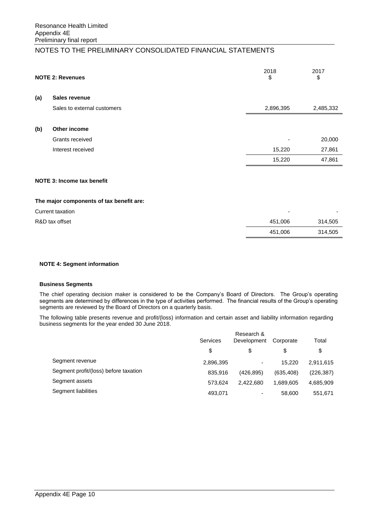|     | <b>NOTE 2: Revenues</b>     | 2018<br>\$ | 2017<br>\$ |
|-----|-----------------------------|------------|------------|
| (a) | <b>Sales revenue</b>        |            |            |
|     | Sales to external customers | 2,896,395  | 2,485,332  |
| (b) | Other income                |            |            |
|     | Grants received             |            | 20,000     |
|     | Interest received           | 15,220     | 27,861     |
|     |                             | 15,220     | 47,861     |
|     |                             |            |            |

# **NOTE 3: Income tax benefit**

#### **The major components of tax benefit are:**

| Current taxation | $\overline{\phantom{0}}$ |         |
|------------------|--------------------------|---------|
| R&D tax offset   | 451,006                  | 314,505 |
|                  | 451.006                  | 314,505 |

### **NOTE 4: Segment information**

### **Business Segments**

The chief operating decision maker is considered to be the Company's Board of Directors. The Group's operating segments are determined by differences in the type of activities performed. The financial results of the Group's operating segments are reviewed by the Board of Directors on a quarterly basis.

The following table presents revenue and profit/(loss) information and certain asset and liability information regarding business segments for the year ended 30 June 2018.

|                                       | Research &<br>Services<br>Development |                          |           | Total      |
|---------------------------------------|---------------------------------------|--------------------------|-----------|------------|
|                                       | \$                                    | \$                       | S         | \$         |
| Segment revenue                       | 2,896,395                             | $\overline{\phantom{0}}$ | 15.220    | 2.911.615  |
| Segment profit/(loss) before taxation | 835.916                               | (426.895)                | (635.408) | (226, 387) |
| Segment assets                        | 573.624                               | 2.422.680                | 1.689.605 | 4,685,909  |
| Segment liabilities                   | 493,071                               | $\overline{\phantom{0}}$ | 58,600    | 551,671    |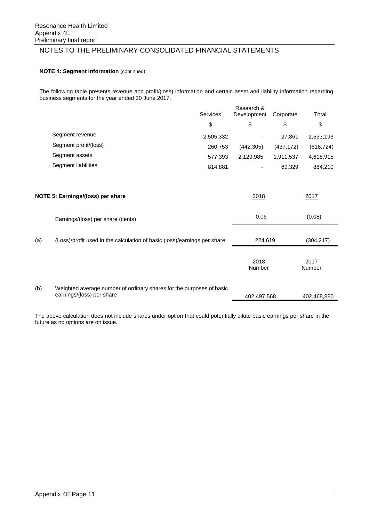### **NOTE 4: Segment information** (continued)

The following table presents revenue and profit/(loss) information and certain asset and liability information regarding business segments for the year ended 30 June 2017.

|     |                                                                                                   | <b>Services</b> | Research &<br>Development | Corporate  | Total          |  |
|-----|---------------------------------------------------------------------------------------------------|-----------------|---------------------------|------------|----------------|--|
|     |                                                                                                   | \$              | \$                        | \$         | \$             |  |
|     | Segment revenue                                                                                   | 2,505,332       |                           | 27,861     | 2,533,193      |  |
|     | Segment profit/(loss)                                                                             | 260,753         | (442, 305)                | (437, 172) | (618, 724)     |  |
|     | Segment assets                                                                                    | 577,393         | 2,129,985                 | 1,911,537  | 4,618,915      |  |
|     | Segment liabilities                                                                               | 814,881         |                           | 69,329     | 884,210        |  |
|     | NOTE 5: Earnings/(loss) per share                                                                 |                 | 2018                      |            | 2017           |  |
|     | Earnings/(loss) per share (cents)                                                                 |                 | 0.06                      |            | (0.08)         |  |
| (a) | (Loss)/profit used in the calculation of basic (loss)/earnings per share                          |                 | 224,619                   |            | (304, 217)     |  |
|     |                                                                                                   |                 | 2018<br>Number            |            | 2017<br>Number |  |
| (b) | Weighted average number of ordinary shares for the purposes of basic<br>earnings/(loss) per share |                 | 402,497,568               |            | 402,468,880    |  |

The above calculation does not include shares under option that could potentially dilute basic earnings per share in the future as no options are on issue.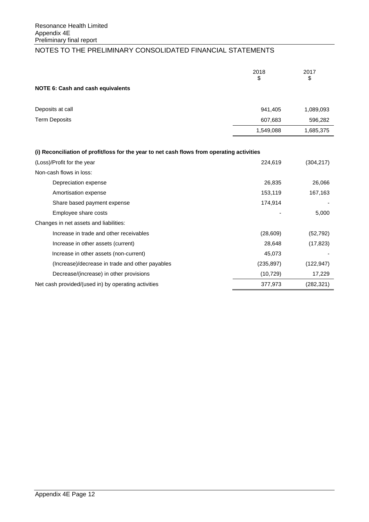|                                                                                            | 2018<br>\$ | 2017<br>\$ |
|--------------------------------------------------------------------------------------------|------------|------------|
| <b>NOTE 6: Cash and cash equivalents</b>                                                   |            |            |
| Deposits at call                                                                           | 941,405    | 1,089,093  |
| <b>Term Deposits</b>                                                                       | 607,683    | 596,282    |
|                                                                                            | 1,549,088  | 1,685,375  |
|                                                                                            |            |            |
| (i) Reconciliation of profit/loss for the year to net cash flows from operating activities |            |            |
| (Loss)/Profit for the year                                                                 | 224,619    | (304, 217) |
| Non-cash flows in loss:                                                                    |            |            |
| Depreciation expense                                                                       | 26,835     | 26,066     |
| Amortisation expense                                                                       | 153,119    | 167,163    |
| Share based payment expense                                                                | 174,914    |            |
| Employee share costs                                                                       |            | 5,000      |
| Changes in net assets and liabilities:                                                     |            |            |
| Increase in trade and other receivables                                                    | (28, 609)  | (52, 792)  |
| Increase in other assets (current)                                                         | 28,648     | (17, 823)  |
| Increase in other assets (non-current)                                                     | 45,073     |            |
| (Increase)/decrease in trade and other payables                                            | (235, 897) | (122, 947) |
| Decrease/(increase) in other provisions                                                    | (10, 729)  | 17,229     |
| Net cash provided/(used in) by operating activities                                        | 377,973    | (282, 321) |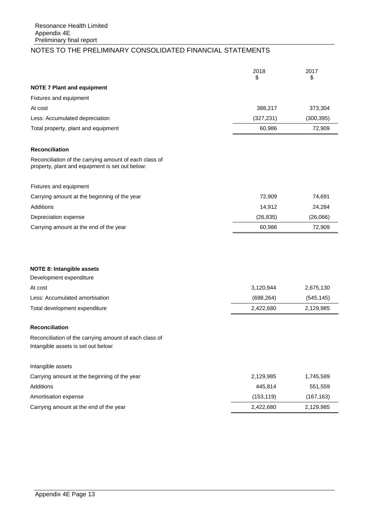|                                                                                                           | 2018<br>\$ | 2017<br>\$ |
|-----------------------------------------------------------------------------------------------------------|------------|------------|
| <b>NOTE 7 Plant and equipment</b>                                                                         |            |            |
| Fixtures and equipment                                                                                    |            |            |
| At cost                                                                                                   | 388,217    | 373,304    |
| Less: Accumulated depreciation                                                                            | (327, 231) | (300, 395) |
| Total property, plant and equipment                                                                       | 60,986     | 72,909     |
| Reconciliation                                                                                            |            |            |
| Reconciliation of the carrying amount of each class of<br>property, plant and equipment is set out below: |            |            |
| Fixtures and equipment                                                                                    |            |            |
| Carrying amount at the beginning of the year                                                              | 72,909     | 74,691     |
| <b>Additions</b>                                                                                          | 14,912     | 24,284     |
| Depreciation expense                                                                                      | (26, 835)  | (26,066)   |
| Carrying amount at the end of the year                                                                    | 60,986     | 72,909     |
|                                                                                                           |            |            |
| <b>NOTE 8: Intangible assets</b>                                                                          |            |            |
| Development expenditure                                                                                   |            |            |
| At cost                                                                                                   | 3,120,944  | 2,675,130  |
| Less: Accumulated amortisation                                                                            | (698, 264) | (545, 145) |
| Total development expenditure                                                                             | 2,422,680  | 2,129,985  |
| Reconciliation                                                                                            |            |            |
| Reconciliation of the carrying amount of each class of<br>Intangible assets is set out below:             |            |            |
| Intangible assets                                                                                         |            |            |
| Carrying amount at the beginning of the year                                                              | 2,129,985  | 1,745,589  |
| <b>Additions</b>                                                                                          | 445,814    | 551,559    |
| Amortisation expense                                                                                      | (153, 119) | (167, 163) |
| Carrying amount at the end of the year                                                                    | 2,422,680  | 2,129,985  |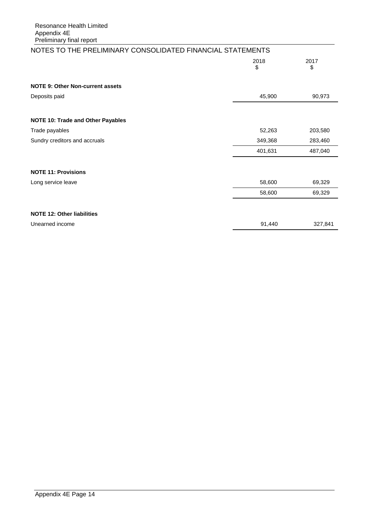| NOTES TO THE PRELIMINARY CONSOLIDATED FINANCIAL STATEMENTS |            |            |
|------------------------------------------------------------|------------|------------|
|                                                            | 2018<br>\$ | 2017<br>\$ |
| <b>NOTE 9: Other Non-current assets</b>                    |            |            |
| Deposits paid                                              | 45,900     | 90,973     |
|                                                            |            |            |
| <b>NOTE 10: Trade and Other Payables</b>                   |            |            |
| Trade payables                                             | 52,263     | 203,580    |
| Sundry creditors and accruals                              | 349,368    | 283,460    |
|                                                            | 401,631    | 487,040    |
|                                                            |            |            |
| <b>NOTE 11: Provisions</b>                                 |            |            |
| Long service leave                                         | 58,600     | 69,329     |
|                                                            | 58,600     | 69,329     |
|                                                            |            |            |
| <b>NOTE 12: Other liabilities</b>                          |            |            |
| Unearned income                                            | 91,440     | 327,841    |